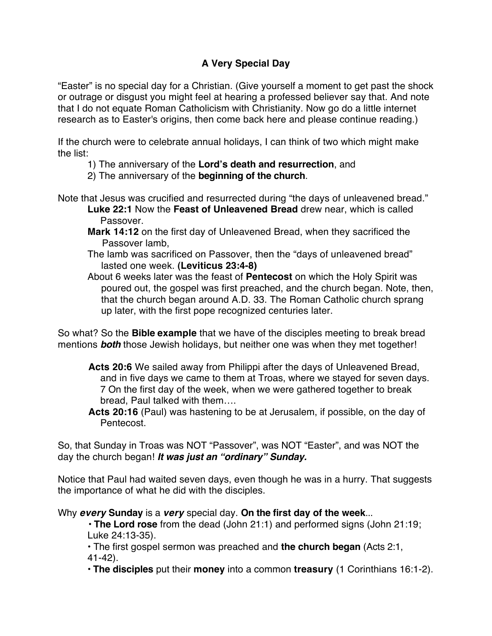## **A Very Special Day**

"Easter" is no special day for a Christian. (Give yourself a moment to get past the shock or outrage or disgust you might feel at hearing a professed believer say that. And note that I do not equate Roman Catholicism with Christianity. Now go do a little internet research as to Easter's origins, then come back here and please continue reading.)

If the church were to celebrate annual holidays, I can think of two which might make the list:

- 1) The anniversary of the **Lord's death and resurrection**, and
- 2) The anniversary of the **beginning of the church**.

Note that Jesus was crucified and resurrected during "the days of unleavened bread."

- **Luke 22:1** Now the **Feast of Unleavened Bread** drew near, which is called Passover.
- **Mark 14:12** on the first day of Unleavened Bread, when they sacrificed the Passover lamb,
- The lamb was sacrificed on Passover, then the "days of unleavened bread" lasted one week. **(Leviticus 23:4-8)**
- About 6 weeks later was the feast of **Pentecost** on which the Holy Spirit was poured out, the gospel was first preached, and the church began. Note, then, that the church began around A.D. 33. The Roman Catholic church sprang up later, with the first pope recognized centuries later.

So what? So the **Bible example** that we have of the disciples meeting to break bread mentions *both* those Jewish holidays, but neither one was when they met together!

- **Acts 20:6** We sailed away from Philippi after the days of Unleavened Bread, and in five days we came to them at Troas, where we stayed for seven days. 7 On the first day of the week, when we were gathered together to break bread, Paul talked with them….
- **Acts 20:16** (Paul) was hastening to be at Jerusalem, if possible, on the day of Pentecost.

So, that Sunday in Troas was NOT "Passover", was NOT "Easter", and was NOT the day the church began! *It was just an "ordinary" Sunday.* 

Notice that Paul had waited seven days, even though he was in a hurry. That suggests the importance of what he did with the disciples.

Why *every* **Sunday** is a *very* special day. **On the first day of the week**...

• **The Lord rose** from the dead (John 21:1) and performed signs (John 21:19; Luke 24:13-35).

• The first gospel sermon was preached and **the church began** (Acts 2:1, 41-42).

• **The disciples** put their **money** into a common **treasury** (1 Corinthians 16:1-2).